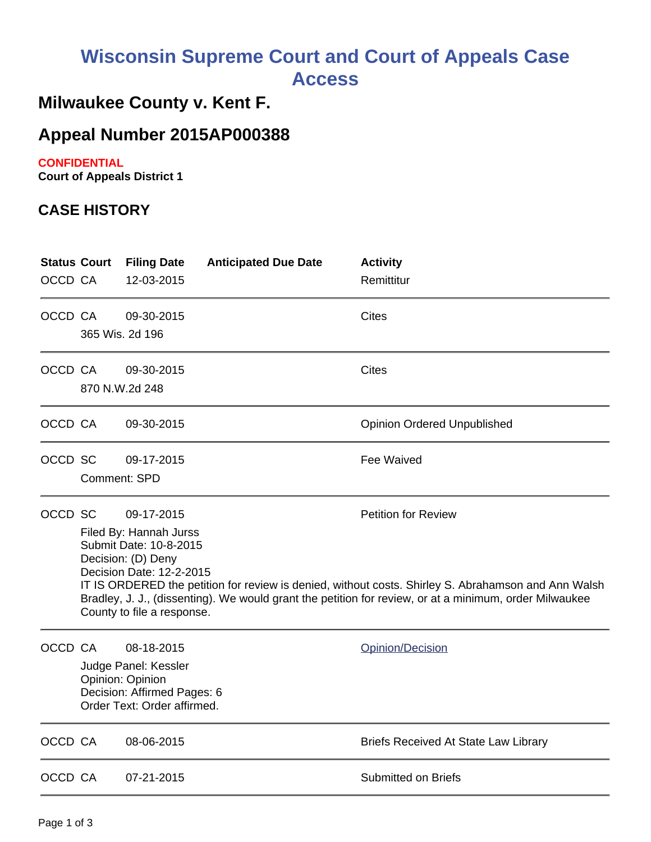# **Wisconsin Supreme Court and Court of Appeals Case Access**

## **Milwaukee County v. Kent F.**

## **Appeal Number 2015AP000388**

#### **CONFIDENTIAL**

**Court of Appeals District 1**

#### **CASE HISTORY**

| <b>Status Court</b><br>OCCD CA |                                                                                                                                                                                                                                                                                                                                                                                               | <b>Filing Date</b><br>12-03-2015                                                                                     | <b>Anticipated Due Date</b> | <b>Activity</b><br>Remittitur               |
|--------------------------------|-----------------------------------------------------------------------------------------------------------------------------------------------------------------------------------------------------------------------------------------------------------------------------------------------------------------------------------------------------------------------------------------------|----------------------------------------------------------------------------------------------------------------------|-----------------------------|---------------------------------------------|
| OCCD CA                        | 365 Wis. 2d 196                                                                                                                                                                                                                                                                                                                                                                               | 09-30-2015                                                                                                           |                             | Cites                                       |
| OCCD CA                        | 870 N.W.2d 248                                                                                                                                                                                                                                                                                                                                                                                | 09-30-2015                                                                                                           |                             | <b>Cites</b>                                |
| OCCD CA                        |                                                                                                                                                                                                                                                                                                                                                                                               | 09-30-2015                                                                                                           |                             | <b>Opinion Ordered Unpublished</b>          |
| OCCD SC                        | <b>Comment: SPD</b>                                                                                                                                                                                                                                                                                                                                                                           | 09-17-2015                                                                                                           |                             | Fee Waived                                  |
| OCCD SC                        | 09-17-2015<br><b>Petition for Review</b><br>Filed By: Hannah Jurss<br>Submit Date: 10-8-2015<br>Decision: (D) Deny<br>Decision Date: 12-2-2015<br>IT IS ORDERED the petition for review is denied, without costs. Shirley S. Abrahamson and Ann Walsh<br>Bradley, J. J., (dissenting). We would grant the petition for review, or at a minimum, order Milwaukee<br>County to file a response. |                                                                                                                      |                             |                                             |
| OCCD CA                        |                                                                                                                                                                                                                                                                                                                                                                                               | 08-18-2015<br>Judge Panel: Kessler<br>Opinion: Opinion<br>Decision: Affirmed Pages: 6<br>Order Text: Order affirmed. |                             | Opinion/Decision                            |
| OCCD CA                        |                                                                                                                                                                                                                                                                                                                                                                                               | 08-06-2015                                                                                                           |                             | <b>Briefs Received At State Law Library</b> |
| OCCD CA                        |                                                                                                                                                                                                                                                                                                                                                                                               | 07-21-2015                                                                                                           |                             | <b>Submitted on Briefs</b>                  |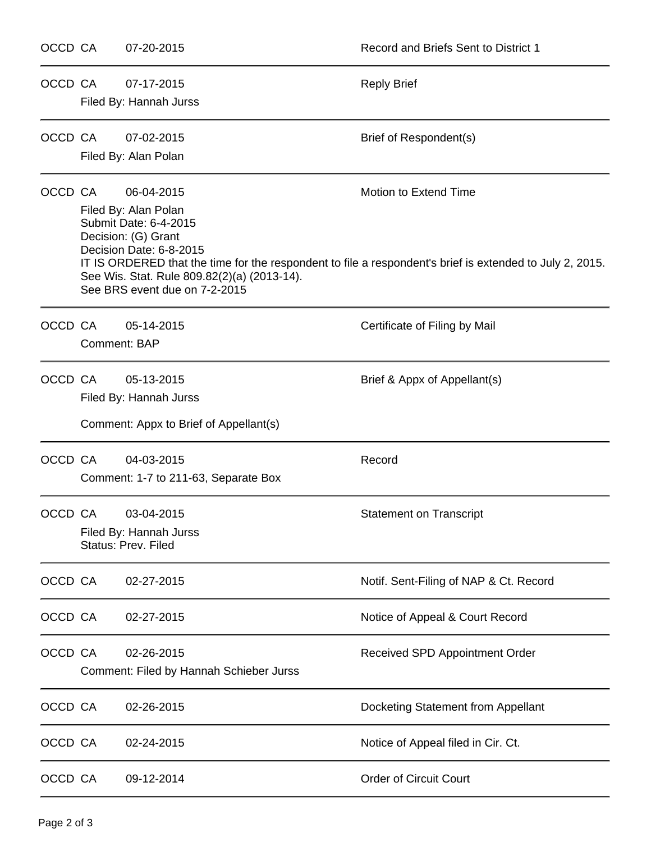| OCCD CA |              | 07-20-2015                                                                                                                                                                                    | Record and Briefs Sent to District 1                                                                                              |
|---------|--------------|-----------------------------------------------------------------------------------------------------------------------------------------------------------------------------------------------|-----------------------------------------------------------------------------------------------------------------------------------|
| OCCD CA |              | 07-17-2015<br>Filed By: Hannah Jurss                                                                                                                                                          | <b>Reply Brief</b>                                                                                                                |
| OCCD CA |              | 07-02-2015<br>Filed By: Alan Polan                                                                                                                                                            | Brief of Respondent(s)                                                                                                            |
| OCCD CA |              | 06-04-2015<br>Filed By: Alan Polan<br>Submit Date: 6-4-2015<br>Decision: (G) Grant<br>Decision Date: 6-8-2015<br>See Wis. Stat. Rule 809.82(2)(a) (2013-14).<br>See BRS event due on 7-2-2015 | Motion to Extend Time<br>IT IS ORDERED that the time for the respondent to file a respondent's brief is extended to July 2, 2015. |
| OCCD CA | Comment: BAP | 05-14-2015                                                                                                                                                                                    | Certificate of Filing by Mail                                                                                                     |
| OCCD CA |              | 05-13-2015<br>Filed By: Hannah Jurss<br>Comment: Appx to Brief of Appellant(s)                                                                                                                | Brief & Appx of Appellant(s)                                                                                                      |
| OCCD CA |              | 04-03-2015<br>Comment: 1-7 to 211-63, Separate Box                                                                                                                                            | Record                                                                                                                            |
| OCCD CA |              | 03-04-2015<br>Filed By: Hannah Jurss<br><b>Status: Prev. Filed</b>                                                                                                                            | <b>Statement on Transcript</b>                                                                                                    |
| OCCD CA |              | 02-27-2015                                                                                                                                                                                    | Notif. Sent-Filing of NAP & Ct. Record                                                                                            |
| OCCD CA |              | 02-27-2015                                                                                                                                                                                    | Notice of Appeal & Court Record                                                                                                   |
| OCCD CA |              | 02-26-2015<br>Comment: Filed by Hannah Schieber Jurss                                                                                                                                         | Received SPD Appointment Order                                                                                                    |
| OCCD CA |              | 02-26-2015                                                                                                                                                                                    | Docketing Statement from Appellant                                                                                                |
| OCCD CA |              | 02-24-2015                                                                                                                                                                                    | Notice of Appeal filed in Cir. Ct.                                                                                                |
| OCCD CA |              | 09-12-2014                                                                                                                                                                                    | <b>Order of Circuit Court</b>                                                                                                     |